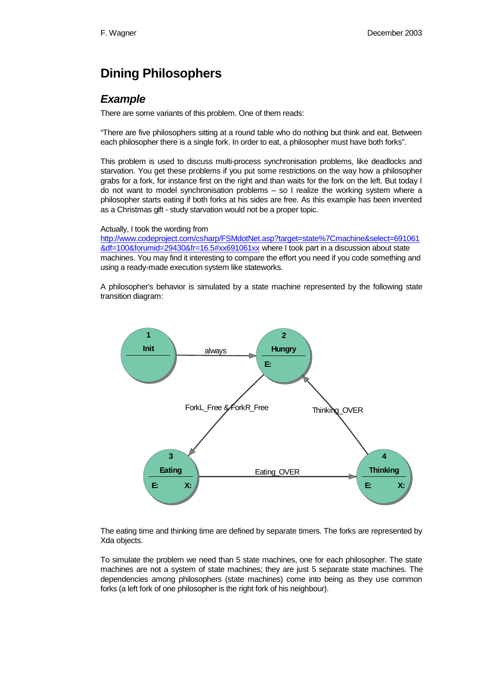## **Dining Philosophers**

## *Example*

There are some variants of this problem. One of them reads:

"There are five philosophers sitting at a round table who do nothing but think and eat. Between each philosopher there is a single fork. In order to eat, a philosopher must have both forks".

This problem is used to discuss multi-process synchronisation problems, like deadlocks and starvation. You get these problems if you put some restrictions on the way how a philosopher grabs for a fork, for instance first on the right and than waits for the fork on the left. But today I do not want to model synchronisation problems – so I realize the working system where a philosopher starts eating if both forks at his sides are free. As this example has been invented as a Christmas gift - study starvation would not be a proper topic.

Actually, I took the wording from

http://www.codeproject.com/csharp/FSMdotNet.asp?target=state%7Cmachine&select=691061 &df=100&forumid=29430&fr=16.5#xx691061xx where I took part in a discussion about state machines. You may find it interesting to compare the effort you need if you code something and using a ready-made execution system like stateworks.

A philosopher's behavior is simulated by a state machine represented by the following state transition diagram:



The eating time and thinking time are defined by separate timers. The forks are represented by Xda objects.

To simulate the problem we need than 5 state machines, one for each philosopher. The state machines are not a system of state machines; they are just 5 separate state machines. The dependencies among philosophers (state machines) come into being as they use common forks (a left fork of one philosopher is the right fork of his neighbour).